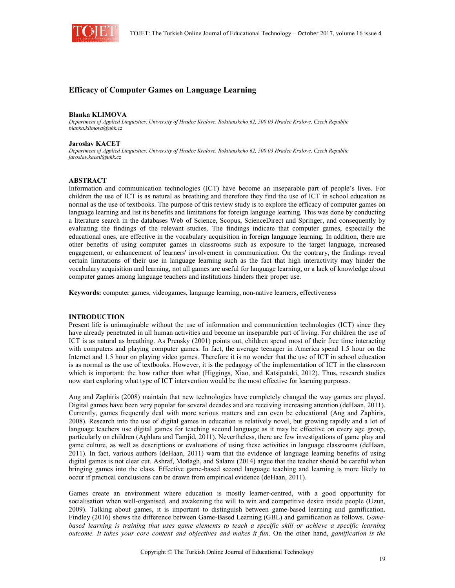

# **Efficacy of Computer Games on Language Learning**

#### **Blanka KLIMOVA**

*Department of Applied Linguistics, University of Hradec Kralove, Rokitanskeho 62, 500 03 Hradec Kralove, Czech Republic blanka.klimova@uhk.cz*

#### **Jaroslav KACET**

*Department of Applied Linguistics, University of Hradec Kralove, Rokitanskeho 62, 500 03 Hradec Kralove, Czech Republic jaroslav.kacetl@uhk.cz*

### **ABSTRACT**

Information and communication technologies (ICT) have become an inseparable part of people's lives. For children the use of ICT is as natural as breathing and therefore they find the use of ICT in school education as normal as the use of textbooks. The purpose of this review study is to explore the efficacy of computer games on language learning and list its benefits and limitations for foreign language learning. This was done by conducting a literature search in the databases Web of Science, Scopus, ScienceDirect and Springer, and consequently by evaluating the findings of the relevant studies. The findings indicate that computer games, especially the educational ones, are effective in the vocabulary acquisition in foreign language learning. In addition, there are other benefits of using computer games in classrooms such as exposure to the target language, increased engagement, or enhancement of learners' involvement in communication. On the contrary, the findings reveal certain limitations of their use in language learning such as the fact that high interactivity may hinder the vocabulary acquisition and learning, not all games are useful for language learning, or a lack of knowledge about computer games among language teachers and institutions hinders their proper use.

**Keywords:** computer games, videogames, language learning, non-native learners, effectiveness

### **INTRODUCTION**

Present life is unimaginable without the use of information and communication technologies (ICT) since they have already penetrated in all human activities and become an inseparable part of living. For children the use of ICT is as natural as breathing. As Prensky (2001) points out, children spend most of their free time interacting with computers and playing computer games. In fact, the average teenager in America spend 1.5 hour on the Internet and 1.5 hour on playing video games. Therefore it is no wonder that the use of ICT in school education is as normal as the use of textbooks. However, it is the pedagogy of the implementation of ICT in the classroom which is important: the how rather than what (Higgings, Xiao, and Katsipataki, 2012). Thus, research studies now start exploring what type of ICT intervention would be the most effective for learning purposes.

Ang and Zaphiris (2008) maintain that new technologies have completely changed the way games are played. Digital games have been very popular for several decades and are receiving increasing attention (deHaan, 2011). Currently, games frequently deal with more serious matters and can even be educational (Ang and Zaphiris, 2008). Research into the use of digital games in education is relatively novel, but growing rapidly and a lot of language teachers use digital games for teaching second language as it may be effective on every age group, particularly on children (Aghlara and Tamjid, 2011). Nevertheless, there are few investigations of game play and game culture, as well as descriptions or evaluations of using these activities in language classrooms (deHaan, 2011). In fact, various authors (deHaan, 2011) warn that the evidence of language learning benefits of using digital games is not clear cut. Ashraf, Motlagh, and Salami (2014) argue that the teacher should be careful when bringing games into the class. Effective game-based second language teaching and learning is more likely to occur if practical conclusions can be drawn from empirical evidence (deHaan, 2011).

Games create an environment where education is mostly learner-centred, with a good opportunity for socialisation when well-organised, and awakening the will to win and competitive desire inside people (Uzun, 2009). Talking about games, it is important to distinguish between game-based learning and gamification. Findley (2016) shows the difference between Game-Based Learning (GBL) and gamification as follows. *Gamebased learning is training that uses game elements to teach a specific skill or achieve a specific learning outcome. It takes your core content and objectives and makes it fun*. On the other hand, *gamification is the*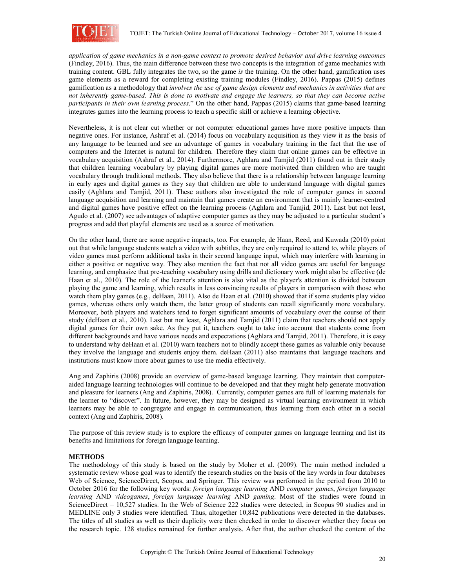

*application of game mechanics in a non-game context to promote desired behavior and drive learning outcomes*  (Findley, 2016). Thus, the main difference between these two concepts is the integration of game mechanics with training content. GBL fully integrates the two, so the game *is* the training. On the other hand, gamification uses game elements as a reward for completing existing training modules (Findley, 2016). Pappas (2015) defines gamification as a methodology that *involves the use of game design elements and mechanics in activities that are not inherently game-based. This is done to motivate and engage the learners, so that they can become active participants in their own learning process*." On the other hand, Pappas (2015) claims that game-based learning integrates games into the learning process to teach a specific skill or achieve a learning objective.

Nevertheless, it is not clear cut whether or not computer educational games have more positive impacts than negative ones. For instance, Ashraf et al. (2014) focus on vocabulary acquisition as they view it as the basis of any language to be learned and see an advantage of games in vocabulary training in the fact that the use of computers and the Internet is natural for children. Therefore they claim that online games can be effective in vocabulary acquisition (Ashraf et al., 2014). Furthermore, Aghlara and Tamjid (2011) found out in their study that children learning vocabulary by playing digital games are more motivated than children who are taught vocabulary through traditional methods. They also believe that there is a relationship between language learning in early ages and digital games as they say that children are able to understand language with digital games easily (Aghlara and Tamjid, 2011). These authors also investigated the role of computer games in second language acquisition and learning and maintain that games create an environment that is mainly learner-centred and digital games have positive effect on the learning process (Aghlara and Tamjid, 2011). Last but not least, Agudo et al. (2007) see advantages of adaptive computer games as they may be adjusted to a particular student´s progress and add that playful elements are used as a source of motivation.

On the other hand, there are some negative impacts, too. For example, de Haan, Reed, and Kuwada (2010) point out that while language students watch a video with subtitles, they are only required to attend to, while players of video games must perform additional tasks in their second language input, which may interfere with learning in either a positive or negative way. They also mention the fact that not all video games are useful for language learning, and emphasize that pre-teaching vocabulary using drills and dictionary work might also be effective (de Haan et al., 2010). The role of the learner's attention is also vital as the player's attention is divided between playing the game and learning, which results in less convincing results of players in comparison with those who watch them play games (e.g., deHaan, 2011). Also de Haan et al. (2010) showed that if some students play video games, whereas others only watch them, the latter group of students can recall significantly more vocabulary. Moreover, both players and watchers tend to forget significant amounts of vocabulary over the course of their study (deHaan et al., 2010). Last but not least, Aghlara and Tamjid (2011) claim that teachers should not apply digital games for their own sake. As they put it, teachers ought to take into account that students come from different backgrounds and have various needs and expectations (Aghlara and Tamjid, 2011). Therefore, it is easy to understand why deHaan et al. (2010) warn teachers not to blindly accept these games as valuable only because they involve the language and students enjoy them. deHaan (2011) also maintains that language teachers and institutions must know more about games to use the media effectively.

Ang and Zaphiris (2008) provide an overview of game-based language learning. They maintain that computeraided language learning technologies will continue to be developed and that they might help generate motivation and pleasure for learners (Ang and Zaphiris, 2008). Currently, computer games are full of learning materials for the learner to "discover". In future, however, they may be designed as virtual learning environment in which learners may be able to congregate and engage in communication, thus learning from each other in a social context (Ang and Zaphiris, 2008).

The purpose of this review study is to explore the efficacy of computer games on language learning and list its benefits and limitations for foreign language learning.

# **METHODS**

The methodology of this study is based on the study by Moher et al. (2009). The main method included a systematic review whose goal was to identify the research studies on the basis of the key words in four databases Web of Science, ScienceDirect, Scopus, and Springer. This review was performed in the period from 2010 to October 2016 for the following key words: *foreign language learning* AND *computer games*, *foreign language learning* AND *videogames*, *foreign language learning* AND *gaming*. Most of the studies were found in ScienceDirect – 10,527 studies. In the Web of Science 222 studies were detected, in Scopus 90 studies and in MEDLINE only 3 studies were identified. Thus, altogether 10,842 publications were detected in the databases. The titles of all studies as well as their duplicity were then checked in order to discover whether they focus on the research topic. 128 studies remained for further analysis. After that, the author checked the content of the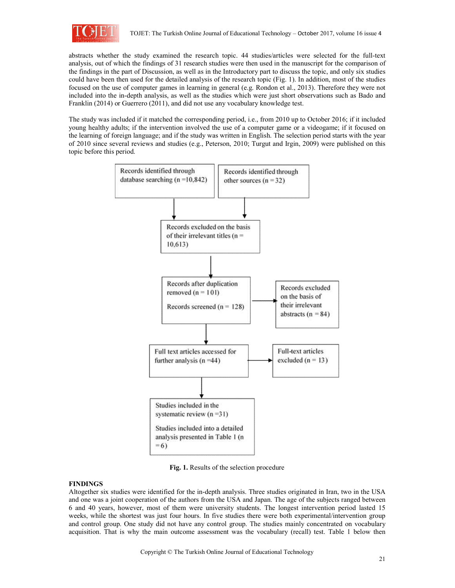

abstracts whether the study examined the research topic. 44 studies/articles were selected for the full-text analysis, out of which the findings of 31 research studies were then used in the manuscript for the comparison of the findings in the part of Discussion, as well as in the Introductory part to discuss the topic, and only six studies could have been then used for the detailed analysis of the research topic (Fig. 1). In addition, most of the studies focused on the use of computer games in learning in general (e.g. Rondon et al., 2013). Therefore they were not included into the in-depth analysis, as well as the studies which were just short observations such as Bado and Franklin (2014) or Guerrero (2011), and did not use any vocabulary knowledge test.

The study was included if it matched the corresponding period, i.e., from 2010 up to October 2016; if it included young healthy adults; if the intervention involved the use of a computer game or a videogame; if it focused on the learning of foreign language; and if the study was written in English. The selection period starts with the year of 2010 since several reviews and studies (e.g., Peterson, 2010; Turgut and Irgin, 2009) were published on this topic before this period.



**Fig. 1.** Results of the selection procedure

# **FINDINGS**

Altogether six studies were identified for the in-depth analysis. Three studies originated in Iran, two in the USA and one was a joint cooperation of the authors from the USA and Japan. The age of the subjects ranged between 6 and 40 years, however, most of them were university students. The longest intervention period lasted 15 weeks, while the shortest was just four hours. In five studies there were both experimental/intervention group and control group. One study did not have any control group. The studies mainly concentrated on vocabulary acquisition. That is why the main outcome assessment was the vocabulary (recall) test. Table 1 below then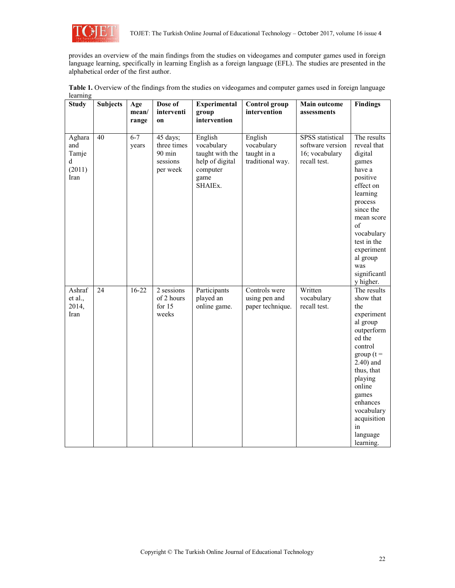

provides an overview of the main findings from the studies on videogames and computer games used in foreign language learning, specifically in learning English as a foreign language (EFL). The studies are presented in the alphabetical order of the first author.

**Table 1.** Overview of the findings from the studies on videogames and computer games used in foreign language learning

| <b>Study</b>                                  | <b>Subjects</b> | Age<br>mean/<br>range | Dose of<br>interventi<br>on                                         | <b>Experimental</b><br>group<br>intervention                                               | <b>Control group</b><br>intervention                     | Main outcome<br>assessments                                            | <b>Findings</b>                                                                                                                                                                                                                                 |
|-----------------------------------------------|-----------------|-----------------------|---------------------------------------------------------------------|--------------------------------------------------------------------------------------------|----------------------------------------------------------|------------------------------------------------------------------------|-------------------------------------------------------------------------------------------------------------------------------------------------------------------------------------------------------------------------------------------------|
| Aghara<br>and<br>Tamje<br>d<br>(2011)<br>Iran | 40              | $6 - 7$<br>years      | 45 days;<br>three times<br>$90 \text{ min}$<br>sessions<br>per week | English<br>vocabulary<br>taught with the<br>help of digital<br>computer<br>game<br>SHAIEx. | English<br>vocabulary<br>taught in a<br>traditional way. | SPSS statistical<br>software version<br>16; vocabulary<br>recall test. | The results<br>reveal that<br>digital<br>games<br>have a<br>positive<br>effect on<br>learning<br>process<br>since the<br>mean score<br>of<br>vocabulary<br>test in the<br>experiment<br>al group<br>was<br>significantl<br>y higher.            |
| Ashraf<br>et al.,<br>2014,<br>Iran            | $\overline{24}$ | $16 - 22$             | 2 sessions<br>of 2 hours<br>for $15$<br>weeks                       | Participants<br>played an<br>online game.                                                  | Controls were<br>using pen and<br>paper technique.       | Written<br>vocabulary<br>recall test.                                  | The results<br>show that<br>the<br>experiment<br>al group<br>outperform<br>ed the<br>control<br>$group(t =$<br>$2.40$ ) and<br>thus, that<br>playing<br>online<br>games<br>enhances<br>vocabulary<br>acquisition<br>in<br>language<br>learning. |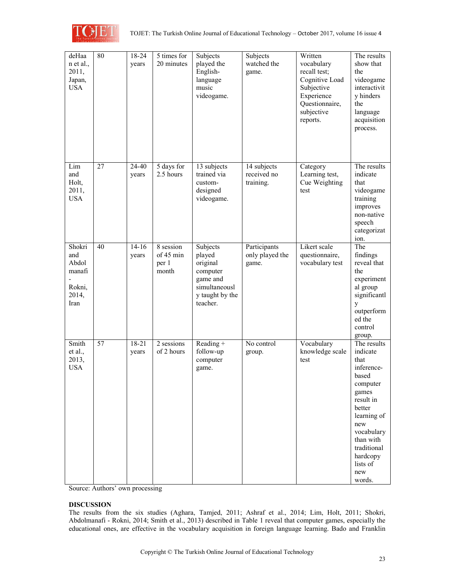

| deHaa      | 80 | 18-24     | 5 times for | Subjects        | Subjects        | Written         | The results  |
|------------|----|-----------|-------------|-----------------|-----------------|-----------------|--------------|
| n et al.,  |    | years     | 20 minutes  | played the      | watched the     | vocabulary      | show that    |
| 2011,      |    |           |             | English-        | game.           | recall test;    | the          |
| Japan,     |    |           |             | language        |                 | Cognitive Load  | videogame    |
| <b>USA</b> |    |           |             | music           |                 | Subjective      | interactivit |
|            |    |           |             |                 |                 |                 |              |
|            |    |           |             | videogame.      |                 | Experience      | y hinders    |
|            |    |           |             |                 |                 | Questionnaire,  | the          |
|            |    |           |             |                 |                 | subjective      | language     |
|            |    |           |             |                 |                 | reports.        | acquisition  |
|            |    |           |             |                 |                 |                 | process.     |
|            |    |           |             |                 |                 |                 |              |
|            |    |           |             |                 |                 |                 |              |
|            |    |           |             |                 |                 |                 |              |
|            |    |           |             |                 |                 |                 |              |
| Lim        | 27 | 24-40     | 5 days for  | 13 subjects     | 14 subjects     | Category        | The results  |
| and        |    | years     | 2.5 hours   | trained via     | received no     | Learning test,  | indicate     |
| Holt,      |    |           |             | custom-         | training.       | Cue Weighting   | that         |
| 2011,      |    |           |             | designed        |                 | test            | videogame    |
| <b>USA</b> |    |           |             | videogame.      |                 |                 | training     |
|            |    |           |             |                 |                 |                 | improves     |
|            |    |           |             |                 |                 |                 | non-native   |
|            |    |           |             |                 |                 |                 | speech       |
|            |    |           |             |                 |                 |                 | categorizat  |
|            |    |           |             |                 |                 |                 | ion.         |
| Shokri     | 40 | $14 - 16$ | 8 session   | Subjects        | Participants    | Likert scale    | The          |
| and        |    | years     | of 45 min   | played          | only played the | questionnaire,  | findings     |
| Abdol      |    |           | per 1       | original        | game.           | vocabulary test | reveal that  |
| manafi     |    |           | month       | computer        |                 |                 | the          |
|            |    |           |             | game and        |                 |                 | experiment   |
| Rokni,     |    |           |             | simultaneousl   |                 |                 | al group     |
| 2014,      |    |           |             | y taught by the |                 |                 | significantl |
| Iran       |    |           |             | teacher.        |                 |                 | y            |
|            |    |           |             |                 |                 |                 | outperform   |
|            |    |           |             |                 |                 |                 | ed the       |
|            |    |           |             |                 |                 |                 | control      |
|            |    |           |             |                 |                 |                 | group.       |
| Smith      | 57 | $18 - 21$ | 2 sessions  | $Reading +$     | No control      | Vocabulary      | The results  |
| et al.,    |    | years     | of 2 hours  | follow-up       | group.          | knowledge scale | indicate     |
| 2013,      |    |           |             | computer        |                 | test            | that         |
| <b>USA</b> |    |           |             | game.           |                 |                 | inference-   |
|            |    |           |             |                 |                 |                 | based        |
|            |    |           |             |                 |                 |                 | computer     |
|            |    |           |             |                 |                 |                 | games        |
|            |    |           |             |                 |                 |                 | result in    |
|            |    |           |             |                 |                 |                 | better       |
|            |    |           |             |                 |                 |                 | learning of  |
|            |    |           |             |                 |                 |                 | new          |
|            |    |           |             |                 |                 |                 | vocabulary   |
|            |    |           |             |                 |                 |                 | than with    |
|            |    |           |             |                 |                 |                 | traditional  |
|            |    |           |             |                 |                 |                 | hardcopy     |
|            |    |           |             |                 |                 |                 |              |
|            |    |           |             |                 |                 |                 | lists of     |
|            |    |           |             |                 |                 |                 | new          |
|            |    |           |             |                 |                 |                 | words.       |

Source: Authors' own processing

# **DISCUSSION**

The results from the six studies (Aghara, Tamjed, 2011; Ashraf et al., 2014; Lim, Holt, 2011; Shokri, Abdolmanafi - Rokni, 2014; Smith et al., 2013) described in Table 1 reveal that computer games, especially the educational ones, are effective in the vocabulary acquisition in foreign language learning. Bado and Franklin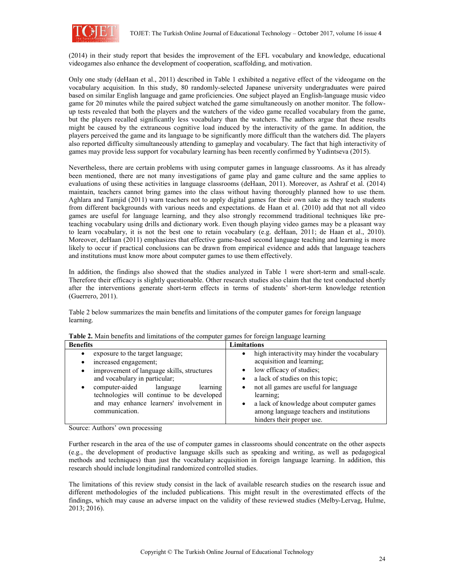

(2014) in their study report that besides the improvement of the EFL vocabulary and knowledge, educational videogames also enhance the development of cooperation, scaffolding, and motivation.

Only one study (deHaan et al., 2011) described in Table 1 exhibited a negative effect of the videogame on the vocabulary acquisition. In this study, 80 randomly-selected Japanese university undergraduates were paired based on similar English language and game proficiencies. One subject played an English-language music video game for 20 minutes while the paired subject watched the game simultaneously on another monitor. The followup tests revealed that both the players and the watchers of the video game recalled vocabulary from the game, but the players recalled significantly less vocabulary than the watchers. The authors argue that these results might be caused by the extraneous cognitive load induced by the interactivity of the game. In addition, the players perceived the game and its language to be significantly more difficult than the watchers did. The players also reported difficulty simultaneously attending to gameplay and vocabulary. The fact that high interactivity of games may provide less support for vocabulary learning has been recently confirmed by Yudintseva (2015).

Nevertheless, there are certain problems with using computer games in language classrooms. As it has already been mentioned, there are not many investigations of game play and game culture and the same applies to evaluations of using these activities in language classrooms (deHaan, 2011). Moreover, as Ashraf et al. (2014) maintain, teachers cannot bring games into the class without having thoroughly planned how to use them. Aghlara and Tamjid (2011) warn teachers not to apply digital games for their own sake as they teach students from different backgrounds with various needs and expectations. de Haan et al. (2010) add that not all video games are useful for language learning, and they also strongly recommend traditional techniques like preteaching vocabulary using drills and dictionary work. Even though playing video games may be a pleasant way to learn vocabulary, it is not the best one to retain vocabulary (e.g. deHaan, 2011; de Haan et al., 2010). Moreover, deHaan (2011) emphasizes that effective game-based second language teaching and learning is more likely to occur if practical conclusions can be drawn from empirical evidence and adds that language teachers and institutions must know more about computer games to use them effectively.

In addition, the findings also showed that the studies analyzed in Table 1 were short-term and small-scale. Therefore their efficacy is slightly questionable. Other research studies also claim that the test conducted shortly after the interventions generate short-term effects in terms of students' short-term knowledge retention (Guerrero, 2011).

Table 2 below summarizes the main benefits and limitations of the computer games for foreign language learning.

| <b>Benefits</b>                                                                                                                                                                                                                                                                                                       | <b>Limitations</b>                                                                                                                                                                                                                                                                                                                                            |  |  |
|-----------------------------------------------------------------------------------------------------------------------------------------------------------------------------------------------------------------------------------------------------------------------------------------------------------------------|---------------------------------------------------------------------------------------------------------------------------------------------------------------------------------------------------------------------------------------------------------------------------------------------------------------------------------------------------------------|--|--|
| exposure to the target language;<br>$\bullet$<br>increased engagement;<br>٠<br>improvement of language skills, structures<br>٠<br>and vocabulary in particular;<br>computer-aided<br>learning<br>language<br>technologies will continue to be developed<br>and may enhance learners' involvement in<br>communication. | high interactivity may hinder the vocabulary<br>٠<br>acquisition and learning;<br>low efficacy of studies;<br>٠<br>a lack of studies on this topic;<br>$\bullet$<br>not all games are useful for language<br>٠<br>learning;<br>a lack of knowledge about computer games<br>$\bullet$<br>among language teachers and institutions<br>hinders their proper use. |  |  |

**Table 2.** Main benefits and limitations of the computer games for foreign language learning

Source: Authors' own processing

Further research in the area of the use of computer games in classrooms should concentrate on the other aspects (e.g., the development of productive language skills such as speaking and writing, as well as pedagogical methods and techniques) than just the vocabulary acquisition in foreign language learning. In addition, this research should include longitudinal randomized controlled studies.

The limitations of this review study consist in the lack of available research studies on the research issue and different methodologies of the included publications. This might result in the overestimated effects of the findings, which may cause an adverse impact on the validity of these reviewed studies (Melby-Lervag, Hulme, 2013; 2016).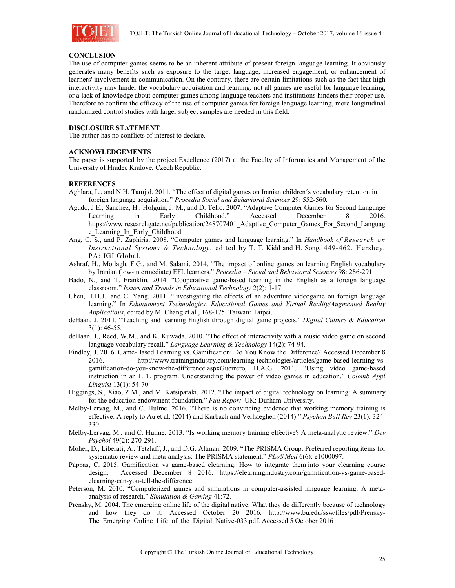

### **CONCLUSION**

The use of computer games seems to be an inherent attribute of present foreign language learning. It obviously generates many benefits such as exposure to the target language, increased engagement, or enhancement of learners' involvement in communication. On the contrary, there are certain limitations such as the fact that high interactivity may hinder the vocabulary acquisition and learning, not all games are useful for language learning, or a lack of knowledge about computer games among language teachers and institutions hinders their proper use. Therefore to confirm the efficacy of the use of computer games for foreign language learning, more longitudinal randomized control studies with larger subject samples are needed in this field.

### **DISCLOSURE STATEMENT**

The author has no conflicts of interest to declare.

### **ACKNOWLEDGEMENTS**

The paper is supported by the project Excellence (2017) at the Faculty of Informatics and Management of the University of Hradec Kralove, Czech Republic.

### **REFERENCES**

- Aghlara, L., and N.H. Tamjid. 2011. "The effect of digital games on Iranian children´s vocabulary retention in foreign language acquisition." *Procedia Social and Behavioral Sciences* 29: 552-560.
- Agudo, J.E., Sanchez, H., Holguin, J. M., and D. Tello. 2007. "Adaptive Computer Games for Second Language Learning in Early Childhood." Accessed December 8 2016. https://www.researchgate.net/publication/248707401\_Adaptive\_Computer\_Games\_For\_Second\_Languag e\_Learning\_In\_Early\_Childhood
- Ang, C. S., and P. Zaphiris. 2008. "Computer games and language learning." In *Handbook of Research on Instructional Systems & Technology*, edited by T. T. Kidd and H. Song, 449-462. Hershey, PA: IGI Global.
- Ashraf, H., Motlagh, F.G., and M. Salami. 2014. "The impact of online games on learning English vocabulary by Iranian (low-intermediate) EFL learners." *Procedia – Social and Behavioral Sciences* 98: 286-291.
- Bado, N., and T. Franklin. 2014. "Cooperative game-based learning in the English as a foreign language classroom." *Issues and Trends in Educational Technology* 2(2): 1-17.
- Chen, H.H.J., and C. Yang. 2011. "Investigating the effects of an adventure videogame on foreign language learning." In *Edutainment Technologies. Educational Games and Virtual Reality/Augmented Reality Applications*, edited by M. Chang et al., 168-175. Taiwan: Taipei.
- deHaan, J. 2011. "Teaching and learning English through digital game projects." *Digital Culture & Education* 3(1): 46-55.
- deHaan, J., Reed, W.M., and K. Kuwada. 2010. "The effect of interactivity with a music video game on second language vocabulary recall." *Language Learning & Technology* 14(2): 74-94.
- Findley, J. 2016. Game-Based Learning vs. Gamification: Do You Know the Difference? Accessed December 8 2016. http://www.trainingindustry.com/learning-technologies/articles/game-based-learning-vsgamification-do-you-know-the-difference.aspxGuerrero, H.A.G. 2011. "Using video game-based instruction in an EFL program. Understanding the power of video games in education." *Colomb Appl Linguist* 13(1): 54-70.
- Higgings, S., Xiao, Z.M., and M. Katsipataki. 2012. "The impact of digital technology on learning: A summary for the education endowment foundation." *Full Report*. UK: Durham University.
- Melby-Lervag, M., and C. Hulme. 2016. "There is no convincing evidence that working memory training is effective: A reply to Au et al. (2014) and Karbach and Verhaeghen (2014)." *Psychon Bull Rev* 23(1): 324- 330.
- Melby-Lervag, M., and C. Hulme. 2013. "Is working memory training effective? A meta-analytic review." *Dev Psychol* 49(2): 270-291.
- Moher, D., Liberati, A., Tetzlaff, J., and D.G. Altman. 2009. "The PRISMA Group. Preferred reporting items for systematic review and meta-analysis: The PRISMA statement." *PLoS Med* 6(6): e1000097.
- Pappas, C. 2015. Gamification vs game-based elearning: How to integrate them into your elearning course design. Accessed December 8 2016. https://elearningindustry.com/gamification-vs-game-basedelearning-can-you-tell-the-difference
- Peterson, M. 2010. "Computerized games and simulations in computer-assisted language learning: A metaanalysis of research." *Simulation & Gaming* 41:72.
- Prensky, M. 2004. The emerging online life of the digital native: What they do differently because of technology and how they do it. Accessed October 20 2016. http://www.bu.edu/ssw/files/pdf/Prensky-The Emerging Online Life of the Digital Native-033.pdf. Accessed 5 October 2016